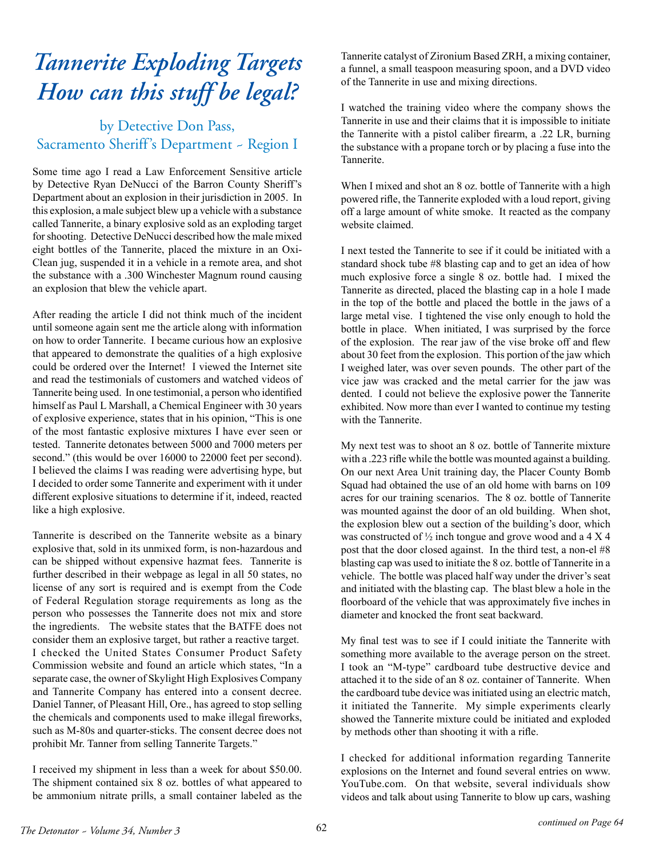## *Tannerite Exploding Targets How can this stuff be legal?*

## by Detective Don Pass, Sacramento Sheriff's Department - Region I

Some time ago I read a Law Enforcement Sensitive article by Detective Ryan DeNucci of the Barron County Sheriff's Department about an explosion in their jurisdiction in 2005. In this explosion, a male subject blew up a vehicle with a substance called Tannerite, a binary explosive sold as an exploding target for shooting. Detective DeNucci described how the male mixed eight bottles of the Tannerite, placed the mixture in an Oxi-Clean jug, suspended it in a vehicle in a remote area, and shot the substance with a .300 Winchester Magnum round causing an explosion that blew the vehicle apart.

After reading the article I did not think much of the incident until someone again sent me the article along with information on how to order Tannerite. I became curious how an explosive that appeared to demonstrate the qualities of a high explosive could be ordered over the Internet! I viewed the Internet site and read the testimonials of customers and watched videos of Tannerite being used. In one testimonial, a person who identified himself as Paul L Marshall, a Chemical Engineer with 30 years of explosive experience, states that in his opinion, "This is one of the most fantastic explosive mixtures I have ever seen or tested. Tannerite detonates between 5000 and 7000 meters per second." (this would be over 16000 to 22000 feet per second). I believed the claims I was reading were advertising hype, but I decided to order some Tannerite and experiment with it under different explosive situations to determine if it, indeed, reacted like a high explosive.

Tannerite is described on the Tannerite website as a binary explosive that, sold in its unmixed form, is non-hazardous and can be shipped without expensive hazmat fees. Tannerite is further described in their webpage as legal in all 50 states, no license of any sort is required and is exempt from the Code of Federal Regulation storage requirements as long as the person who possesses the Tannerite does not mix and store the ingredients. The website states that the BATFE does not consider them an explosive target, but rather a reactive target. I checked the United States Consumer Product Safety Commission website and found an article which states, "In a separate case, the owner of Skylight High Explosives Company and Tannerite Company has entered into a consent decree. Daniel Tanner, of Pleasant Hill, Ore., has agreed to stop selling the chemicals and components used to make illegal fireworks, such as M-80s and quarter-sticks. The consent decree does not prohibit Mr. Tanner from selling Tannerite Targets."

I received my shipment in less than a week for about \$50.00. The shipment contained six 8 oz. bottles of what appeared to be ammonium nitrate prills, a small container labeled as the

Tannerite catalyst of Zironium Based ZRH, a mixing container, a funnel, a small teaspoon measuring spoon, and a DVD video of the Tannerite in use and mixing directions.

I watched the training video where the company shows the Tannerite in use and their claims that it is impossible to initiate the Tannerite with a pistol caliber firearm, a .22 LR, burning the substance with a propane torch or by placing a fuse into the Tannerite.

When I mixed and shot an 8 oz. bottle of Tannerite with a high powered rifle, the Tannerite exploded with a loud report, giving off a large amount of white smoke. It reacted as the company website claimed.

I next tested the Tannerite to see if it could be initiated with a standard shock tube #8 blasting cap and to get an idea of how much explosive force a single 8 oz. bottle had. I mixed the Tannerite as directed, placed the blasting cap in a hole I made in the top of the bottle and placed the bottle in the jaws of a large metal vise. I tightened the vise only enough to hold the bottle in place. When initiated, I was surprised by the force of the explosion. The rear jaw of the vise broke off and flew about 30 feet from the explosion. This portion of the jaw which I weighed later, was over seven pounds. The other part of the vice jaw was cracked and the metal carrier for the jaw was dented. I could not believe the explosive power the Tannerite exhibited. Now more than ever I wanted to continue my testing with the Tannerite.

My next test was to shoot an 8 oz. bottle of Tannerite mixture with a .223 rifle while the bottle was mounted against a building. On our next Area Unit training day, the Placer County Bomb Squad had obtained the use of an old home with barns on 109 acres for our training scenarios. The 8 oz. bottle of Tannerite was mounted against the door of an old building. When shot, the explosion blew out a section of the building's door, which was constructed of ½ inch tongue and grove wood and a 4 X 4 post that the door closed against. In the third test, a non-el #8 blasting cap was used to initiate the 8 oz. bottle of Tannerite in a vehicle. The bottle was placed half way under the driver's seat and initiated with the blasting cap. The blast blew a hole in the floorboard of the vehicle that was approximately five inches in diameter and knocked the front seat backward.

My final test was to see if I could initiate the Tannerite with something more available to the average person on the street. I took an "M-type" cardboard tube destructive device and attached it to the side of an 8 oz. container of Tannerite. When the cardboard tube device was initiated using an electric match, it initiated the Tannerite. My simple experiments clearly showed the Tannerite mixture could be initiated and exploded by methods other than shooting it with a rifle.

I checked for additional information regarding Tannerite explosions on the Internet and found several entries on www. YouTube.com. On that website, several individuals show videos and talk about using Tannerite to blow up cars, washing